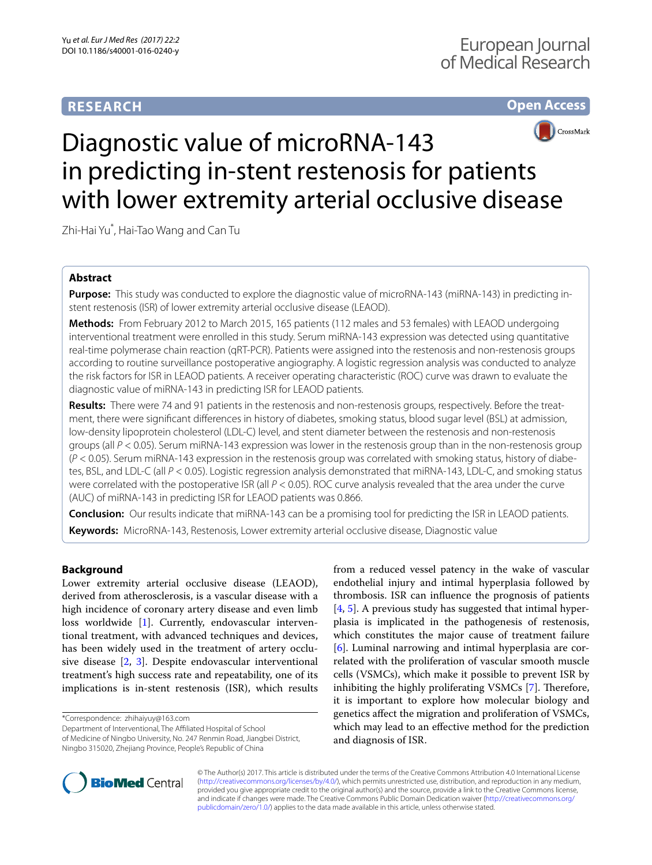# **RESEARCH**

# **Open Access**



# Diagnostic value of microRNA-143 in predicting in-stent restenosis for patients with lower extremity arterial occlusive disease

Zhi‑Hai Yu\* , Hai‑Tao Wang and Can Tu

# **Abstract**

**Purpose:** This study was conducted to explore the diagnostic value of microRNA-143 (miRNA-143) in predicting instent restenosis (ISR) of lower extremity arterial occlusive disease (LEAOD).

**Methods:** From February 2012 to March 2015, 165 patients (112 males and 53 females) with LEAOD undergoing interventional treatment were enrolled in this study. Serum miRNA-143 expression was detected using quantitative real-time polymerase chain reaction (qRT-PCR). Patients were assigned into the restenosis and non-restenosis groups according to routine surveillance postoperative angiography. A logistic regression analysis was conducted to analyze the risk factors for ISR in LEAOD patients. A receiver operating characteristic (ROC) curve was drawn to evaluate the diagnostic value of miRNA-143 in predicting ISR for LEAOD patients.

**Results:** There were 74 and 91 patients in the restenosis and non-restenosis groups, respectively. Before the treat‑ ment, there were significant differences in history of diabetes, smoking status, blood sugar level (BSL) at admission, low-density lipoprotein cholesterol (LDL-C) level, and stent diameter between the restenosis and non-restenosis groups (all *P* < 0.05). Serum miRNA-143 expression was lower in the restenosis group than in the non-restenosis group (*P* < 0.05). Serum miRNA-143 expression in the restenosis group was correlated with smoking status, history of diabe‑ tes, BSL, and LDL-C (all *P* < 0.05). Logistic regression analysis demonstrated that miRNA-143, LDL-C, and smoking status were correlated with the postoperative ISR (all  $P < 0.05$ ). ROC curve analysis revealed that the area under the curve (AUC) of miRNA-143 in predicting ISR for LEAOD patients was 0.866.

**Conclusion:** Our results indicate that miRNA-143 can be a promising tool for predicting the ISR in LEAOD patients. **Keywords:** MicroRNA-143, Restenosis, Lower extremity arterial occlusive disease, Diagnostic value

# **Background**

Lower extremity arterial occlusive disease (LEAOD), derived from atherosclerosis, is a vascular disease with a high incidence of coronary artery disease and even limb loss worldwide [[1\]](#page-5-0). Currently, endovascular interventional treatment, with advanced techniques and devices, has been widely used in the treatment of artery occlusive disease [\[2,](#page-5-1) [3](#page-5-2)]. Despite endovascular interventional treatment's high success rate and repeatability, one of its implications is in-stent restenosis (ISR), which results

\*Correspondence: zhihaiyuy@163.com

Department of Interventional, The Affiliated Hospital of School of Medicine of Ningbo University, No. 247 Renmin Road, Jiangbei District, Ningbo 315020, Zhejiang Province, People's Republic of China

from a reduced vessel patency in the wake of vascular endothelial injury and intimal hyperplasia followed by thrombosis. ISR can influence the prognosis of patients [[4,](#page-5-3) [5\]](#page-5-4). A previous study has suggested that intimal hyperplasia is implicated in the pathogenesis of restenosis, which constitutes the major cause of treatment failure [[6\]](#page-5-5). Luminal narrowing and intimal hyperplasia are correlated with the proliferation of vascular smooth muscle cells (VSMCs), which make it possible to prevent ISR by inhibiting the highly proliferating VSMCs [\[7](#page-5-6)]. Therefore, it is important to explore how molecular biology and genetics affect the migration and proliferation of VSMCs, which may lead to an effective method for the prediction and diagnosis of ISR.



© The Author(s) 2017. This article is distributed under the terms of the Creative Commons Attribution 4.0 International License [\(http://creativecommons.org/licenses/by/4.0/\)](http://creativecommons.org/licenses/by/4.0/), which permits unrestricted use, distribution, and reproduction in any medium, provided you give appropriate credit to the original author(s) and the source, provide a link to the Creative Commons license, and indicate if changes were made. The Creative Commons Public Domain Dedication waiver ([http://creativecommons.org/](http://creativecommons.org/publicdomain/zero/1.0/) [publicdomain/zero/1.0/](http://creativecommons.org/publicdomain/zero/1.0/)) applies to the data made available in this article, unless otherwise stated.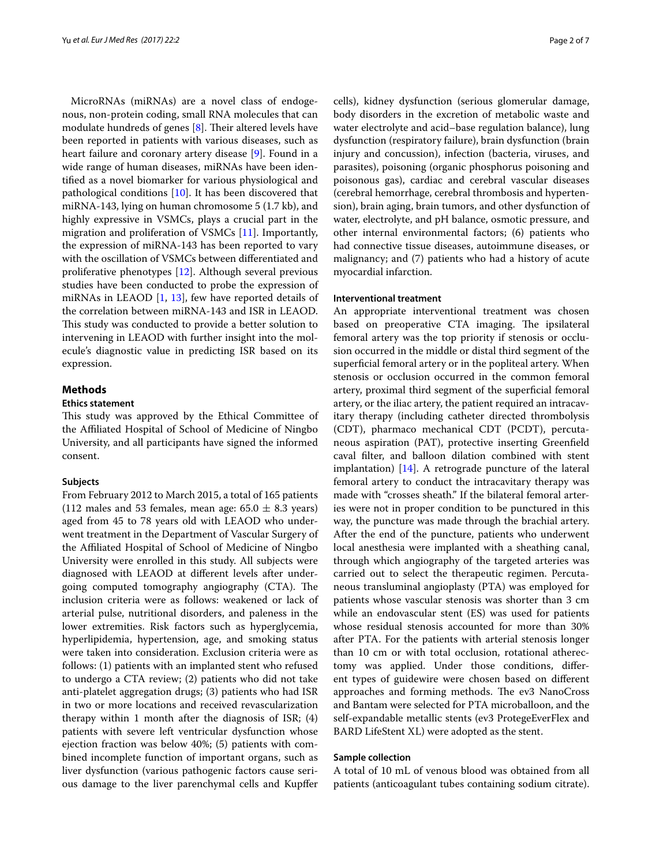MicroRNAs (miRNAs) are a novel class of endogenous, non-protein coding, small RNA molecules that can modulate hundreds of genes [[8\]](#page-6-0). Their altered levels have been reported in patients with various diseases, such as heart failure and coronary artery disease [\[9](#page-6-1)]. Found in a wide range of human diseases, miRNAs have been identified as a novel biomarker for various physiological and pathological conditions [[10](#page-6-2)]. It has been discovered that miRNA-143, lying on human chromosome 5 (1.7 kb), and highly expressive in VSMCs, plays a crucial part in the migration and proliferation of VSMCs [\[11](#page-6-3)]. Importantly, the expression of miRNA-143 has been reported to vary with the oscillation of VSMCs between differentiated and proliferative phenotypes [\[12](#page-6-4)]. Although several previous studies have been conducted to probe the expression of miRNAs in LEAOD [[1,](#page-5-0) [13\]](#page-6-5), few have reported details of the correlation between miRNA-143 and ISR in LEAOD. This study was conducted to provide a better solution to intervening in LEAOD with further insight into the molecule's diagnostic value in predicting ISR based on its expression.

## **Methods**

## **Ethics statement**

This study was approved by the Ethical Committee of the Affiliated Hospital of School of Medicine of Ningbo University, and all participants have signed the informed consent.

### **Subjects**

From February 2012 to March 2015, a total of 165 patients (112 males and 53 females, mean age:  $65.0 \pm 8.3$  years) aged from 45 to 78 years old with LEAOD who underwent treatment in the Department of Vascular Surgery of the Affiliated Hospital of School of Medicine of Ningbo University were enrolled in this study. All subjects were diagnosed with LEAOD at different levels after undergoing computed tomography angiography (CTA). The inclusion criteria were as follows: weakened or lack of arterial pulse, nutritional disorders, and paleness in the lower extremities. Risk factors such as hyperglycemia, hyperlipidemia, hypertension, age, and smoking status were taken into consideration. Exclusion criteria were as follows: (1) patients with an implanted stent who refused to undergo a CTA review; (2) patients who did not take anti-platelet aggregation drugs; (3) patients who had ISR in two or more locations and received revascularization therapy within 1 month after the diagnosis of ISR; (4) patients with severe left ventricular dysfunction whose ejection fraction was below 40%; (5) patients with combined incomplete function of important organs, such as liver dysfunction (various pathogenic factors cause serious damage to the liver parenchymal cells and Kupffer cells), kidney dysfunction (serious glomerular damage, body disorders in the excretion of metabolic waste and water electrolyte and acid–base regulation balance), lung dysfunction (respiratory failure), brain dysfunction (brain injury and concussion), infection (bacteria, viruses, and parasites), poisoning (organic phosphorus poisoning and poisonous gas), cardiac and cerebral vascular diseases (cerebral hemorrhage, cerebral thrombosis and hypertension), brain aging, brain tumors, and other dysfunction of water, electrolyte, and pH balance, osmotic pressure, and other internal environmental factors; (6) patients who had connective tissue diseases, autoimmune diseases, or malignancy; and (7) patients who had a history of acute myocardial infarction.

#### **Interventional treatment**

An appropriate interventional treatment was chosen based on preoperative CTA imaging. The ipsilateral femoral artery was the top priority if stenosis or occlusion occurred in the middle or distal third segment of the superficial femoral artery or in the popliteal artery. When stenosis or occlusion occurred in the common femoral artery, proximal third segment of the superficial femoral artery, or the iliac artery, the patient required an intracavitary therapy (including catheter directed thrombolysis (CDT), pharmaco mechanical CDT (PCDT), percutaneous aspiration (PAT), protective inserting Greenfield caval filter, and balloon dilation combined with stent implantation) [\[14](#page-6-6)]. A retrograde puncture of the lateral femoral artery to conduct the intracavitary therapy was made with "crosses sheath." If the bilateral femoral arteries were not in proper condition to be punctured in this way, the puncture was made through the brachial artery. After the end of the puncture, patients who underwent local anesthesia were implanted with a sheathing canal, through which angiography of the targeted arteries was carried out to select the therapeutic regimen. Percutaneous transluminal angioplasty (PTA) was employed for patients whose vascular stenosis was shorter than 3 cm while an endovascular stent (ES) was used for patients whose residual stenosis accounted for more than 30% after PTA. For the patients with arterial stenosis longer than 10 cm or with total occlusion, rotational atherectomy was applied. Under those conditions, different types of guidewire were chosen based on different approaches and forming methods. The ev3 NanoCross and Bantam were selected for PTA microballoon, and the self-expandable metallic stents (ev3 ProtegeEverFlex and BARD LifeStent XL) were adopted as the stent.

## **Sample collection**

A total of 10 mL of venous blood was obtained from all patients (anticoagulant tubes containing sodium citrate).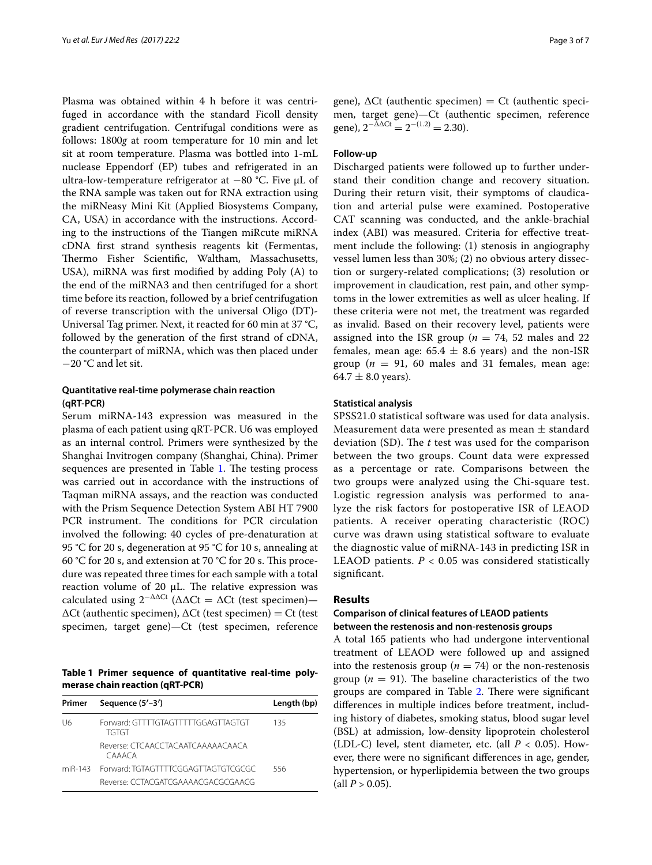Plasma was obtained within 4 h before it was centrifuged in accordance with the standard Ficoll density gradient centrifugation. Centrifugal conditions were as follows: 1800*g* at room temperature for 10 min and let sit at room temperature. Plasma was bottled into 1-mL nuclease Eppendorf (EP) tubes and refrigerated in an ultra-low-temperature refrigerator at −80 °C. Five μL of the RNA sample was taken out for RNA extraction using the miRNeasy Mini Kit (Applied Biosystems Company, CA, USA) in accordance with the instructions. According to the instructions of the Tiangen miRcute miRNA cDNA first strand synthesis reagents kit (Fermentas, Thermo Fisher Scientific, Waltham, Massachusetts, USA), miRNA was first modified by adding Poly (A) to the end of the miRNA3 and then centrifuged for a short time before its reaction, followed by a brief centrifugation of reverse transcription with the universal Oligo (DT)- Universal Tag primer. Next, it reacted for 60 min at 37 °C, followed by the generation of the first strand of cDNA, the counterpart of miRNA, which was then placed under −20 °C and let sit.

## **Quantitative real‑time polymerase chain reaction (qRT‑PCR)**

Serum miRNA-143 expression was measured in the plasma of each patient using qRT-PCR. U6 was employed as an internal control. Primers were synthesized by the Shanghai Invitrogen company (Shanghai, China). Primer sequences are presented in Table [1](#page-2-0). The testing process was carried out in accordance with the instructions of Taqman miRNA assays, and the reaction was conducted with the Prism Sequence Detection System ABI HT 7900 PCR instrument. The conditions for PCR circulation involved the following: 40 cycles of pre-denaturation at 95 °C for 20 s, degeneration at 95 °C for 10 s, annealing at 60 °C for 20 s, and extension at 70 °C for 20 s. This procedure was repeated three times for each sample with a total reaction volume of 20 μL. The relative expression was calculated using  $2^{-\Delta\Delta Ct}$  ( $\Delta\Delta Ct = \Delta Ct$  (test specimen)— ∆Ct (authentic specimen), ∆Ct (test specimen) = Ct (test specimen, target gene)—Ct (test specimen, reference

<span id="page-2-0"></span>**Table 1 Primer sequence of quantitative real-time polymerase chain reaction (qRT-PCR)**

| Primer | Sequence (5'-3')                                   | Length (bp) |
|--------|----------------------------------------------------|-------------|
| U6     | Forward: GTTTTGTAGTTTTTGGAGTTAGTGT<br>TGTGT        |             |
|        | Reverse: CTCAACCTACAATCAAAAACAACA<br><b>CAAACA</b> |             |
|        | miR-143 Forward: TGTAGTTTTCGGAGTTAGTGTCGCGC        | 556         |
|        | Reverse: CCTACGATCGAAAACGACGCGAACG                 |             |

gene),  $\Delta$ Ct (authentic specimen) = Ct (authentic specimen, target gene)—Ct (authentic specimen, reference gene),  $2^{-\Delta\Delta Ct} = 2^{-(1.2)} = 2.30$ .

### **Follow‑up**

Discharged patients were followed up to further understand their condition change and recovery situation. During their return visit, their symptoms of claudication and arterial pulse were examined. Postoperative CAT scanning was conducted, and the ankle-brachial index (ABI) was measured. Criteria for effective treatment include the following: (1) stenosis in angiography vessel lumen less than 30%; (2) no obvious artery dissection or surgery-related complications; (3) resolution or improvement in claudication, rest pain, and other symptoms in the lower extremities as well as ulcer healing. If these criteria were not met, the treatment was regarded as invalid. Based on their recovery level, patients were assigned into the ISR group ( $n = 74$ , 52 males and 22 females, mean age:  $65.4 \pm 8.6$  years) and the non-ISR group ( $n = 91$ , 60 males and 31 females, mean age: 64.7  $\pm$  8.0 years).

## **Statistical analysis**

SPSS21.0 statistical software was used for data analysis. Measurement data were presented as mean  $\pm$  standard deviation (SD). The *t* test was used for the comparison between the two groups. Count data were expressed as a percentage or rate. Comparisons between the two groups were analyzed using the Chi-square test. Logistic regression analysis was performed to analyze the risk factors for postoperative ISR of LEAOD patients. A receiver operating characteristic (ROC) curve was drawn using statistical software to evaluate the diagnostic value of miRNA-143 in predicting ISR in LEAOD patients.  $P < 0.05$  was considered statistically significant.

## **Results**

# **Comparison of clinical features of LEAOD patients between the restenosis and non‑restenosis groups**

A total 165 patients who had undergone interventional treatment of LEAOD were followed up and assigned into the restenosis group ( $n = 74$ ) or the non-restenosis group ( $n = 91$ ). The baseline characteristics of the two groups are compared in Table [2.](#page-3-0) There were significant differences in multiple indices before treatment, including history of diabetes, smoking status, blood sugar level (BSL) at admission, low-density lipoprotein cholesterol (LDL-C) level, stent diameter, etc. (all  $P < 0.05$ ). However, there were no significant differences in age, gender, hypertension, or hyperlipidemia between the two groups  $\text{(all } P > 0.05\text{).}$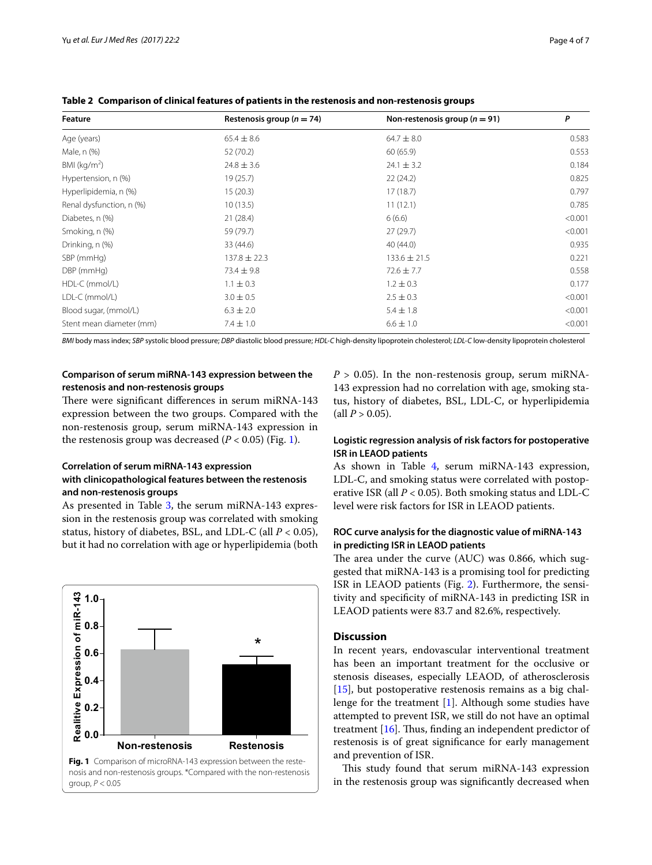| Feature                  | Restenosis group ( $n = 74$ ) | Non-restenosis group ( $n = 91$ ) | P       |  |
|--------------------------|-------------------------------|-----------------------------------|---------|--|
| Age (years)              | $65.4 \pm 8.6$                | $64.7 \pm 8.0$                    | 0.583   |  |
| Male, n (%)              | 52 (70.2)                     | 60(65.9)                          | 0.553   |  |
| BMI ( $\text{kg/m}^2$ )  | $24.8 \pm 3.6$                | $24.1 \pm 3.2$                    | 0.184   |  |
| Hypertension, n (%)      | 19(25.7)                      | 22(24.2)                          | 0.825   |  |
| Hyperlipidemia, n (%)    | 15(20.3)                      | 17(18.7)                          | 0.797   |  |
| Renal dysfunction, n (%) | 10(13.5)                      | 11(12.1)                          | 0.785   |  |
| Diabetes, n (%)          | 21(28.4)                      | 6(6.6)                            | < 0.001 |  |
| Smoking, n (%)           | 59 (79.7)                     | 27(29.7)                          | < 0.001 |  |
| Drinking, n (%)          | 33 (44.6)                     | 40 (44.0)                         | 0.935   |  |
| SBP (mmHg)               | $137.8 \pm 22.3$              | $133.6 \pm 21.5$                  | 0.221   |  |
| DBP (mmHg)               | $73.4 \pm 9.8$                | $72.6 \pm 7.7$                    | 0.558   |  |
| HDL-C (mmol/L)           | $1.1 \pm 0.3$                 | $1.2 \pm 0.3$                     | 0.177   |  |
| LDL-C (mmol/L)           | $3.0 \pm 0.5$                 | $2.5 \pm 0.3$                     | < 0.001 |  |
| Blood sugar, (mmol/L)    | $6.3 \pm 2.0$                 | $5.4 \pm 1.8$                     | < 0.001 |  |
| Stent mean diameter (mm) | $7.4 \pm 1.0$                 | $6.6 \pm 1.0$                     | < 0.001 |  |

<span id="page-3-0"></span>**Table 2 Comparison of clinical features of patients in the restenosis and non-restenosis groups**

*BMI* body mass index; *SBP* systolic blood pressure; *DBP* diastolic blood pressure; *HDL-C* high-density lipoprotein cholesterol; *LDL-C* low-density lipoprotein cholesterol

# **Comparison of serum miRNA‑143 expression between the restenosis and non‑restenosis groups**

There were significant differences in serum miRNA-143 expression between the two groups. Compared with the non-restenosis group, serum miRNA-143 expression in the restenosis group was decreased  $(P < 0.05)$  (Fig. [1\)](#page-3-1).

# **Correlation of serum miRNA‑143 expression with clinicopathological features between the restenosis and non‑restenosis groups**

As presented in Table [3](#page-4-0), the serum miRNA-143 expression in the restenosis group was correlated with smoking status, history of diabetes, BSL, and LDL-C (all *P* < 0.05), but it had no correlation with age or hyperlipidemia (both

<span id="page-3-1"></span>

 $P > 0.05$ ). In the non-restenosis group, serum miRNA-143 expression had no correlation with age, smoking status, history of diabetes, BSL, LDL-C, or hyperlipidemia (all  $P > 0.05$ ).

# **Logistic regression analysis of risk factors for postoperative ISR in LEAOD patients**

As shown in Table [4](#page-4-1), serum miRNA-143 expression, LDL-C, and smoking status were correlated with postoperative ISR (all *P* < 0.05). Both smoking status and LDL-C level were risk factors for ISR in LEAOD patients.

# **ROC curve analysis for the diagnostic value of miRNA‑143 in predicting ISR in LEAOD patients**

The area under the curve (AUC) was 0.866, which suggested that miRNA-143 is a promising tool for predicting ISR in LEAOD patients (Fig. [2\)](#page-5-7). Furthermore, the sensitivity and specificity of miRNA-143 in predicting ISR in LEAOD patients were 83.7 and 82.6%, respectively.

# **Discussion**

In recent years, endovascular interventional treatment has been an important treatment for the occlusive or stenosis diseases, especially LEAOD, of atherosclerosis  $[15]$  $[15]$ , but postoperative restenosis remains as a big challenge for the treatment [[1\]](#page-5-0). Although some studies have attempted to prevent ISR, we still do not have an optimal treatment [[16](#page-6-8)]. Thus, finding an independent predictor of restenosis is of great significance for early management and prevention of ISR.

This study found that serum miRNA-143 expression in the restenosis group was significantly decreased when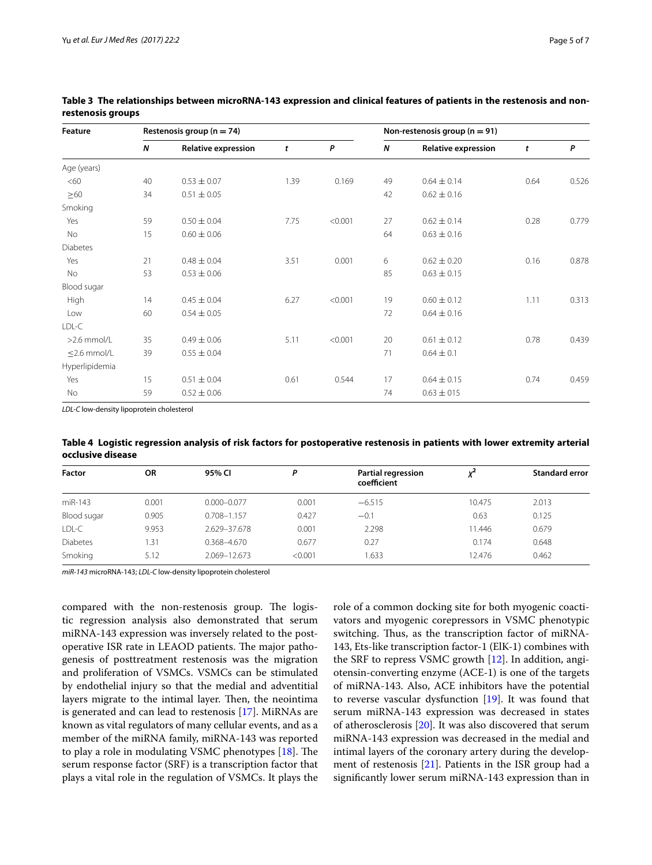| Feature           | Restenosis group ( $n = 74$ ) |                            |      |         | Non-restenosis group ( $n = 91$ ) |                            |      |       |
|-------------------|-------------------------------|----------------------------|------|---------|-----------------------------------|----------------------------|------|-------|
|                   | Ν                             | <b>Relative expression</b> | t    | P       | N                                 | <b>Relative expression</b> | t    | P     |
| Age (years)       |                               |                            |      |         |                                   |                            |      |       |
| <60               | 40                            | $0.53 \pm 0.07$            | 1.39 | 0.169   | 49                                | $0.64 \pm 0.14$            | 0.64 | 0.526 |
| $\geq 60$         | 34                            | $0.51 \pm 0.05$            |      |         | 42                                | $0.62 \pm 0.16$            |      |       |
| Smoking           |                               |                            |      |         |                                   |                            |      |       |
| Yes               | 59                            | $0.50 \pm 0.04$            | 7.75 | < 0.001 | 27                                | $0.62 \pm 0.14$            | 0.28 | 0.779 |
| No                | 15                            | $0.60 \pm 0.06$            |      |         | 64                                | $0.63 \pm 0.16$            |      |       |
| <b>Diabetes</b>   |                               |                            |      |         |                                   |                            |      |       |
| Yes               | 21                            | $0.48 \pm 0.04$            | 3.51 | 0.001   | 6                                 | $0.62 \pm 0.20$            | 0.16 | 0.878 |
| No                | 53                            | $0.53 \pm 0.06$            |      |         | 85                                | $0.63 \pm 0.15$            |      |       |
| Blood sugar       |                               |                            |      |         |                                   |                            |      |       |
| High              | 14                            | $0.45 \pm 0.04$            | 6.27 | < 0.001 | 19                                | $0.60 \pm 0.12$            | 1.11 | 0.313 |
| Low               | 60                            | $0.54 \pm 0.05$            |      |         | 72                                | $0.64 \pm 0.16$            |      |       |
| LDL-C             |                               |                            |      |         |                                   |                            |      |       |
| $>2.6$ mmol/l     | 35                            | $0.49 \pm 0.06$            | 5.11 | < 0.001 | 20                                | $0.61 \pm 0.12$            | 0.78 | 0.439 |
| $\leq$ 2.6 mmol/L | 39                            | $0.55 \pm 0.04$            |      |         | 71                                | $0.64 \pm 0.1$             |      |       |
| Hyperlipidemia    |                               |                            |      |         |                                   |                            |      |       |
| Yes               | 15                            | $0.51 \pm 0.04$            | 0.61 | 0.544   | 17                                | $0.64 \pm 0.15$            | 0.74 | 0.459 |
| No                | 59                            | $0.52 \pm 0.06$            |      |         | 74                                | $0.63 \pm 015$             |      |       |

<span id="page-4-0"></span>**Table 3 The relationships between microRNA-143 expression and clinical features of patients in the restenosis and nonrestenosis groups**

*LDL-C* low-density lipoprotein cholesterol

<span id="page-4-1"></span>**Table 4 Logistic regression analysis of risk factors for postoperative restenosis in patients with lower extremity arterial occlusive disease**

| <b>Factor</b>   | <b>OR</b> | 95% CI          | D       | Partial regression<br>coefficient |        | <b>Standard error</b> |
|-----------------|-----------|-----------------|---------|-----------------------------------|--------|-----------------------|
| miR-143         | 0.001     | $0.000 - 0.077$ | 0.001   | $-6.515$                          | 10.475 | 2.013                 |
| Blood sugar     | 0.905     | $0.708 - 1.157$ | 0.427   | $-0.1$                            | 0.63   | 0.125                 |
| LDL-C           | 9.953     | 2.629-37.678    | 0.001   | 2.298                             | 11.446 | 0.679                 |
| <b>Diabetes</b> | 1.31      | $0.368 - 4.670$ | 0.677   | 0.27                              | 0.174  | 0.648                 |
| Smoking         | 5.12      | 2.069-12.673    | < 0.001 | 1.633                             | 12.476 | 0.462                 |

*miR-143* microRNA-143; *LDL-C* low-density lipoprotein cholesterol

compared with the non-restenosis group. The logistic regression analysis also demonstrated that serum miRNA-143 expression was inversely related to the postoperative ISR rate in LEAOD patients. The major pathogenesis of posttreatment restenosis was the migration and proliferation of VSMCs. VSMCs can be stimulated by endothelial injury so that the medial and adventitial layers migrate to the intimal layer. Then, the neointima is generated and can lead to restenosis [[17\]](#page-6-9). MiRNAs are known as vital regulators of many cellular events, and as a member of the miRNA family, miRNA-143 was reported to play a role in modulating VSMC phenotypes [\[18](#page-6-10)]. The serum response factor (SRF) is a transcription factor that plays a vital role in the regulation of VSMCs. It plays the role of a common docking site for both myogenic coactivators and myogenic corepressors in VSMC phenotypic switching. Thus, as the transcription factor of miRNA-143, Ets-like transcription factor-1 (ElK-1) combines with the SRF to repress VSMC growth [[12\]](#page-6-4). In addition, angiotensin-converting enzyme (ACE-1) is one of the targets of miRNA-143. Also, ACE inhibitors have the potential to reverse vascular dysfunction [[19](#page-6-11)]. It was found that serum miRNA-143 expression was decreased in states of atherosclerosis [\[20](#page-6-12)]. It was also discovered that serum miRNA-143 expression was decreased in the medial and intimal layers of the coronary artery during the development of restenosis [[21\]](#page-6-13). Patients in the ISR group had a significantly lower serum miRNA-143 expression than in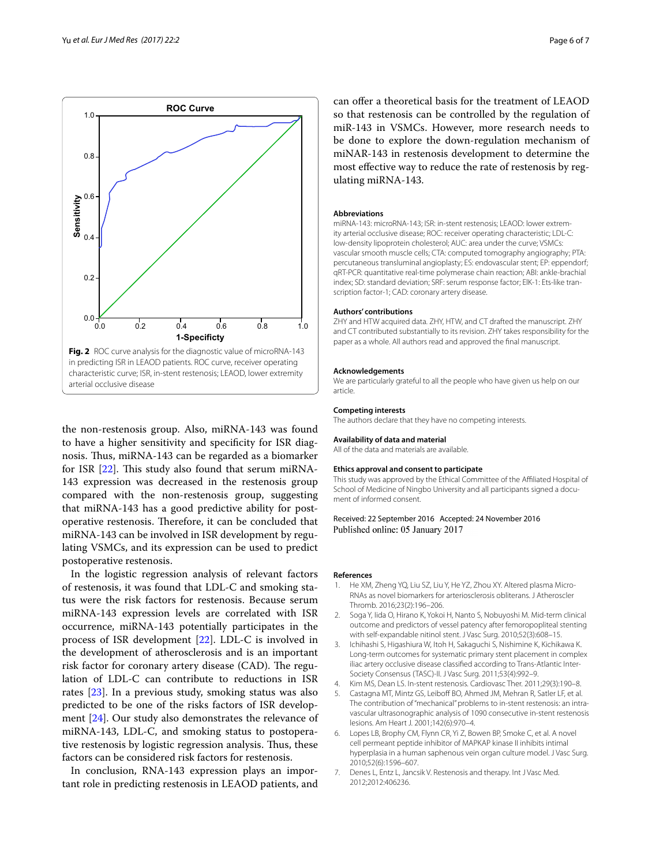

<span id="page-5-7"></span>the non-restenosis group. Also, miRNA-143 was found to have a higher sensitivity and specificity for ISR diagnosis. Thus, miRNA-143 can be regarded as a biomarker for ISR [\[22](#page-6-14)]. This study also found that serum miRNA-143 expression was decreased in the restenosis group compared with the non-restenosis group, suggesting that miRNA-143 has a good predictive ability for postoperative restenosis. Therefore, it can be concluded that miRNA-143 can be involved in ISR development by regulating VSMCs, and its expression can be used to predict postoperative restenosis.

In the logistic regression analysis of relevant factors of restenosis, it was found that LDL-C and smoking status were the risk factors for restenosis. Because serum miRNA-143 expression levels are correlated with ISR occurrence, miRNA-143 potentially participates in the process of ISR development [[22\]](#page-6-14). LDL-C is involved in the development of atherosclerosis and is an important risk factor for coronary artery disease (CAD). The regulation of LDL-C can contribute to reductions in ISR rates [\[23](#page-6-15)]. In a previous study, smoking status was also predicted to be one of the risks factors of ISR development [\[24](#page-6-16)]. Our study also demonstrates the relevance of miRNA-143, LDL-C, and smoking status to postoperative restenosis by logistic regression analysis. Thus, these factors can be considered risk factors for restenosis.

In conclusion, RNA-143 expression plays an important role in predicting restenosis in LEAOD patients, and can offer a theoretical basis for the treatment of LEAOD so that restenosis can be controlled by the regulation of miR-143 in VSMCs. However, more research needs to be done to explore the down-regulation mechanism of miNAR-143 in restenosis development to determine the most effective way to reduce the rate of restenosis by regulating miRNA-143.

#### **Abbreviations**

miRNA-143: microRNA-143; ISR: in-stent restenosis; LEAOD: lower extrem‑ ity arterial occlusive disease; ROC: receiver operating characteristic; LDL-C: low-density lipoprotein cholesterol; AUC: area under the curve; VSMCs: vascular smooth muscle cells; CTA: computed tomography angiography; PTA: percutaneous transluminal angioplasty; ES: endovascular stent; EP: eppendorf; qRT-PCR: quantitative real-time polymerase chain reaction; ABI: ankle-brachial index; SD: standard deviation; SRF: serum response factor; ElK-1: Ets-like transcription factor-1; CAD: coronary artery disease.

#### **Authors' contributions**

ZHY and HTW acquired data. ZHY, HTW, and CT drafted the manuscript. ZHY and CT contributed substantially to its revision. ZHY takes responsibility for the paper as a whole. All authors read and approved the final manuscript.

#### **Acknowledgements**

We are particularly grateful to all the people who have given us help on our article.

#### **Competing interests**

The authors declare that they have no competing interests.

#### **Availability of data and material**

All of the data and materials are available.

#### **Ethics approval and consent to participate**

This study was approved by the Ethical Committee of the Affiliated Hospital of School of Medicine of Ningbo University and all participants signed a document of informed consent.

## Received: 22 September 2016 Accepted: 24 November 2016 Published online: 05 January 2017

#### **References**

- <span id="page-5-0"></span>1. He XM, Zheng YQ, Liu SZ, Liu Y, He YZ, Zhou XY. Altered plasma Micro-RNAs as novel biomarkers for arteriosclerosis obliterans. J Atheroscler Thromb. 2016;23(2):196–206.
- <span id="page-5-1"></span>2. Soga Y, Iida O, Hirano K, Yokoi H, Nanto S, Nobuyoshi M. Mid-term clinical outcome and predictors of vessel patency after femoropopliteal stenting with self-expandable nitinol stent. J Vasc Surg. 2010;52(3):608–15.
- <span id="page-5-2"></span>3. Ichihashi S, Higashiura W, Itoh H, Sakaguchi S, Nishimine K, Kichikawa K. Long-term outcomes for systematic primary stent placement in complex iliac artery occlusive disease classified according to Trans-Atlantic Inter-Society Consensus (TASC)-II. J Vasc Surg. 2011;53(4):992–9.
- <span id="page-5-3"></span>4. Kim MS, Dean LS. In-stent restenosis. Cardiovasc Ther. 2011;29(3):190–8.
- <span id="page-5-4"></span>5. Castagna MT, Mintz GS, Leiboff BO, Ahmed JM, Mehran R, Satler LF, et al. The contribution of "mechanical" problems to in-stent restenosis: an intravascular ultrasonographic analysis of 1090 consecutive in-stent restenosis lesions. Am Heart J. 2001;142(6):970–4.
- <span id="page-5-5"></span>6. Lopes LB, Brophy CM, Flynn CR, Yi Z, Bowen BP, Smoke C, et al. A novel cell permeant peptide inhibitor of MAPKAP kinase II inhibits intimal hyperplasia in a human saphenous vein organ culture model. J Vasc Surg. 2010;52(6):1596–607.
- <span id="page-5-6"></span>7. Denes L, Entz L, Jancsik V. Restenosis and therapy. Int J Vasc Med. 2012;2012:406236.